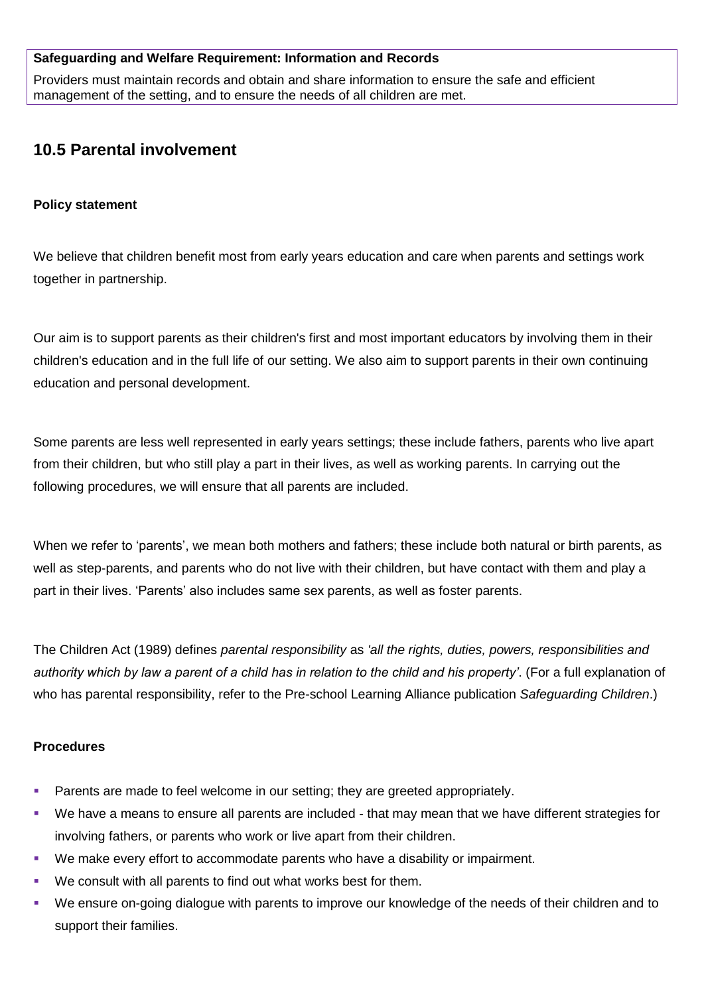#### **Safeguarding and Welfare Requirement: Information and Records**

Providers must maintain records and obtain and share information to ensure the safe and efficient management of the setting, and to ensure the needs of all children are met.

# **10.5 Parental involvement**

### **Policy statement**

We believe that children benefit most from early years education and care when parents and settings work together in partnership.

Our aim is to support parents as their children's first and most important educators by involving them in their children's education and in the full life of our setting. We also aim to support parents in their own continuing education and personal development.

Some parents are less well represented in early years settings; these include fathers, parents who live apart from their children, but who still play a part in their lives, as well as working parents. In carrying out the following procedures, we will ensure that all parents are included.

When we refer to 'parents', we mean both mothers and fathers; these include both natural or birth parents, as well as step-parents, and parents who do not live with their children, but have contact with them and play a part in their lives. 'Parents' also includes same sex parents, as well as foster parents.

The Children Act (1989) defines *parental responsibility* as *'all the rights, duties, powers, responsibilities and authority which by law a parent of a child has in relation to the child and his property'*. (For a full explanation of who has parental responsibility, refer to the Pre-school Learning Alliance publication *Safeguarding Children*.)

## **Procedures**

- Parents are made to feel welcome in our setting; they are greeted appropriately.
- We have a means to ensure all parents are included that may mean that we have different strategies for involving fathers, or parents who work or live apart from their children.
- We make every effort to accommodate parents who have a disability or impairment.
- We consult with all parents to find out what works best for them.
- We ensure on-going dialogue with parents to improve our knowledge of the needs of their children and to support their families.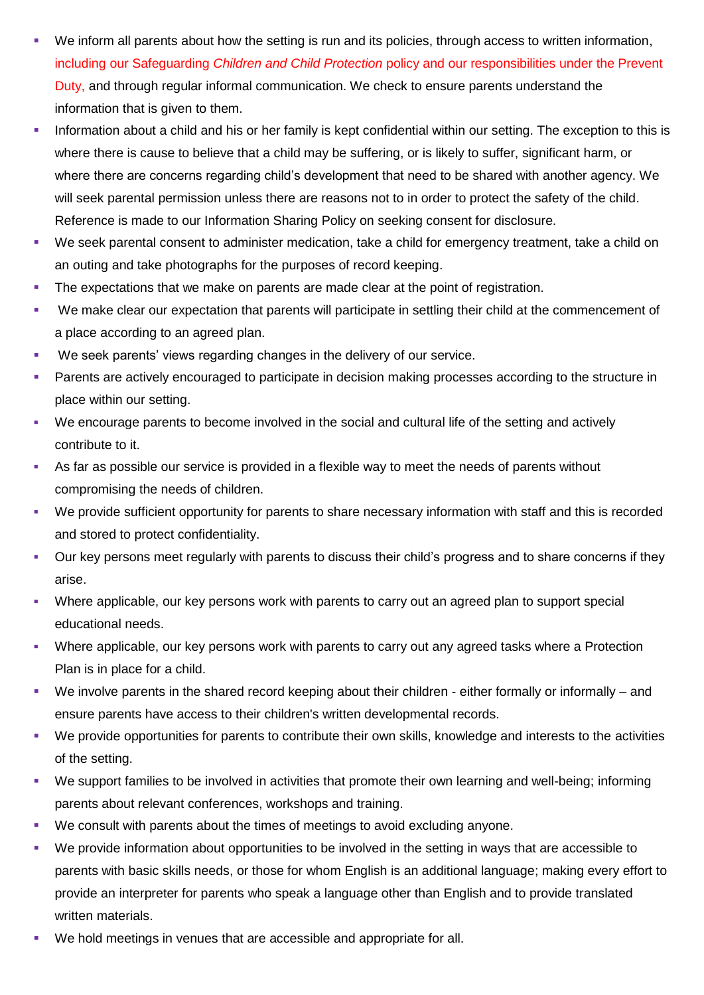- We inform all parents about how the setting is run and its policies, through access to written information, including our Safeguarding *Children and Child Protection* policy and our responsibilities under the Prevent Duty, and through regular informal communication. We check to ensure parents understand the information that is given to them.
- Information about a child and his or her family is kept confidential within our setting. The exception to this is where there is cause to believe that a child may be suffering, or is likely to suffer, significant harm, or where there are concerns regarding child's development that need to be shared with another agency. We will seek parental permission unless there are reasons not to in order to protect the safety of the child. Reference is made to our Information Sharing Policy on seeking consent for disclosure.
- We seek parental consent to administer medication, take a child for emergency treatment, take a child on an outing and take photographs for the purposes of record keeping.
- The expectations that we make on parents are made clear at the point of registration.
- We make clear our expectation that parents will participate in settling their child at the commencement of a place according to an agreed plan.
- We seek parents' views regarding changes in the delivery of our service.
- **Parents are actively encouraged to participate in decision making processes according to the structure in** place within our setting.
- We encourage parents to become involved in the social and cultural life of the setting and actively contribute to it.
- As far as possible our service is provided in a flexible way to meet the needs of parents without compromising the needs of children.
- We provide sufficient opportunity for parents to share necessary information with staff and this is recorded and stored to protect confidentiality.
- Our key persons meet regularly with parents to discuss their child's progress and to share concerns if they arise.
- Where applicable, our key persons work with parents to carry out an agreed plan to support special educational needs.
- Where applicable, our key persons work with parents to carry out any agreed tasks where a Protection Plan is in place for a child.
- We involve parents in the shared record keeping about their children either formally or informally and ensure parents have access to their children's written developmental records.
- We provide opportunities for parents to contribute their own skills, knowledge and interests to the activities of the setting.
- We support families to be involved in activities that promote their own learning and well-being; informing parents about relevant conferences, workshops and training.
- We consult with parents about the times of meetings to avoid excluding anyone.
- We provide information about opportunities to be involved in the setting in ways that are accessible to parents with basic skills needs, or those for whom English is an additional language; making every effort to provide an interpreter for parents who speak a language other than English and to provide translated written materials.
- We hold meetings in venues that are accessible and appropriate for all.